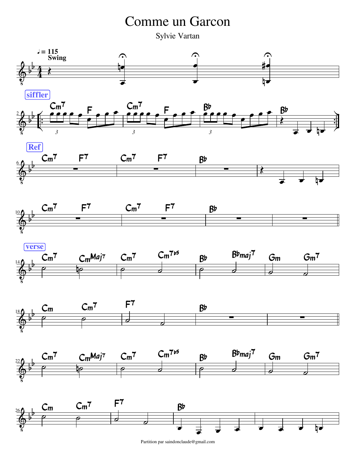## Comme un Garcon

Sylvie Vartan



Partition par saindonclaude@gmail.com